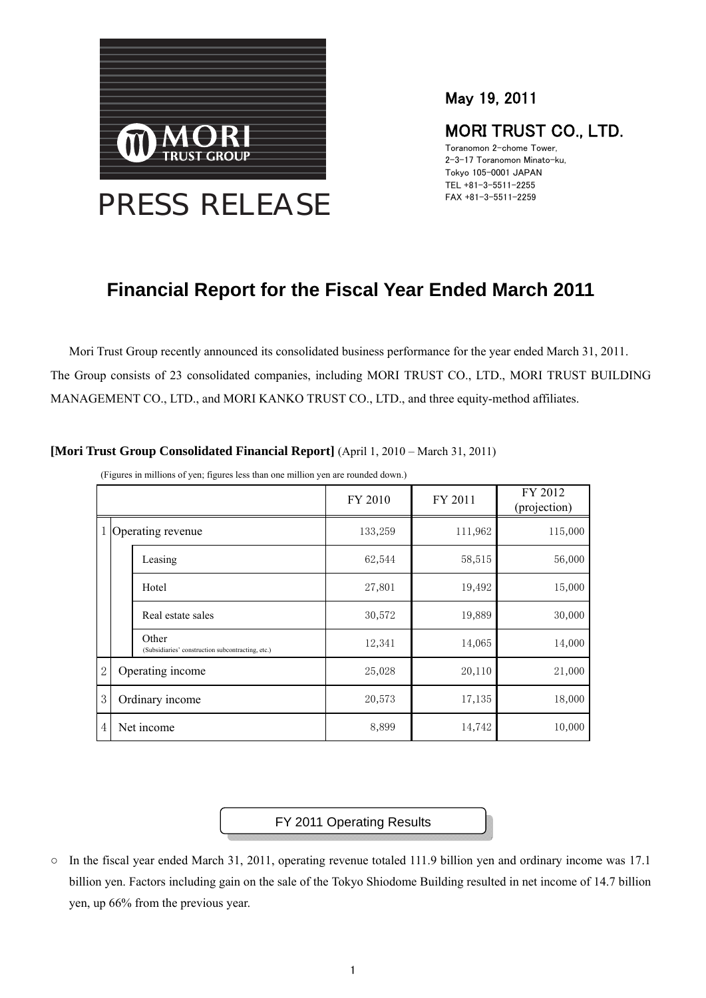

May 19, 2011

# MORI TRUST CO., LTD.

Toranomon 2-chome Tower, 2-3-17 Toranomon Minato-ku, Tokyo 105-0001 JAPAN TEL +81-3-5511-2255 FAX +81-3-5511-2259

# **Financial Report for the Fiscal Year Ended March 2011**

Mori Trust Group recently announced its consolidated business performance for the year ended March 31, 2011. The Group consists of 23 consolidated companies, including MORI TRUST CO., LTD., MORI TRUST BUILDING MANAGEMENT CO., LTD., and MORI KANKO TRUST CO., LTD., and three equity-method affiliates.

|                |                                                            | FY 2010 | FY 2011 | FY 2012<br>(projection) |
|----------------|------------------------------------------------------------|---------|---------|-------------------------|
|                | 1 Operating revenue                                        | 133,259 | 111,962 | 115,000                 |
|                | Leasing                                                    | 62,544  | 58,515  | 56,000                  |
|                | Hotel                                                      | 27,801  | 19,492  | 15,000                  |
|                | Real estate sales                                          | 30,572  | 19,889  | 30,000                  |
|                | Other<br>(Subsidiaries' construction subcontracting, etc.) | 12,341  | 14,065  | 14,000                  |
| $\overline{2}$ | Operating income                                           | 25,028  | 20,110  | 21,000                  |
| 3              | Ordinary income                                            | 20,573  | 17,135  | 18,000                  |
| $\overline{4}$ | Net income                                                 | 8,899   | 14,742  | 10,000                  |

**[Mori Trust Group Consolidated Financial Report]** (April 1, 2010 – March 31, 2011)

(Figures in millions of yen; figures less than one million yen are rounded down.)

FY 2011 Operating Results

○ In the fiscal year ended March 31, 2011, operating revenue totaled 111.9 billion yen and ordinary income was 17.1 billion yen. Factors including gain on the sale of the Tokyo Shiodome Building resulted in net income of 14.7 billion yen, up 66% from the previous year.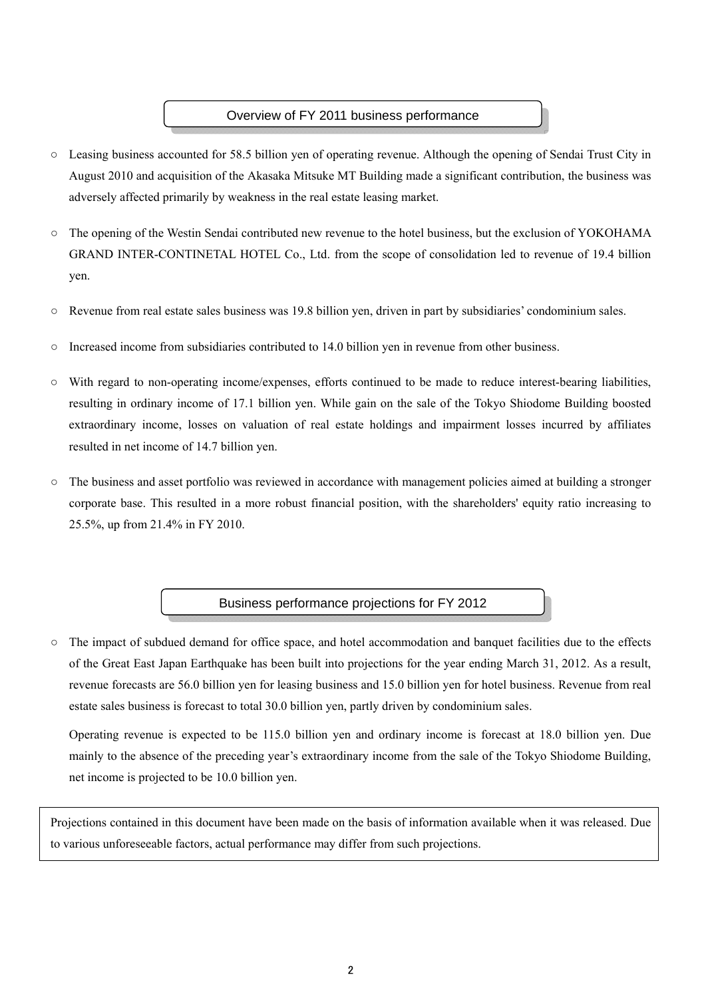#### Overview of FY 2011 business performance

- Leasing business accounted for 58.5 billion yen of operating revenue. Although the opening of Sendai Trust City in August 2010 and acquisition of the Akasaka Mitsuke MT Building made a significant contribution, the business was adversely affected primarily by weakness in the real estate leasing market.
- The opening of the Westin Sendai contributed new revenue to the hotel business, but the exclusion of YOKOHAMA GRAND INTER-CONTINETAL HOTEL Co., Ltd. from the scope of consolidation led to revenue of 19.4 billion yen.
- Revenue from real estate sales business was 19.8 billion yen, driven in part by subsidiaries' condominium sales.
- $\circ$  Increased income from subsidiaries contributed to 14.0 billion yen in revenue from other business.
- With regard to non-operating income/expenses, efforts continued to be made to reduce interest-bearing liabilities, resulting in ordinary income of 17.1 billion yen. While gain on the sale of the Tokyo Shiodome Building boosted extraordinary income, losses on valuation of real estate holdings and impairment losses incurred by affiliates resulted in net income of 14.7 billion yen.
- The business and asset portfolio was reviewed in accordance with management policies aimed at building a stronger corporate base. This resulted in a more robust financial position, with the shareholders' equity ratio increasing to 25.5%, up from 21.4% in FY 2010.

#### Business performance projections for FY 2012

○ The impact of subdued demand for office space, and hotel accommodation and banquet facilities due to the effects of the Great East Japan Earthquake has been built into projections for the year ending March 31, 2012. As a result, revenue forecasts are 56.0 billion yen for leasing business and 15.0 billion yen for hotel business. Revenue from real estate sales business is forecast to total 30.0 billion yen, partly driven by condominium sales.

 Operating revenue is expected to be 115.0 billion yen and ordinary income is forecast at 18.0 billion yen. Due mainly to the absence of the preceding year's extraordinary income from the sale of the Tokyo Shiodome Building, net income is projected to be 10.0 billion yen.

Projections contained in this document have been made on the basis of information available when it was released. Due to various unforeseeable factors, actual performance may differ from such projections.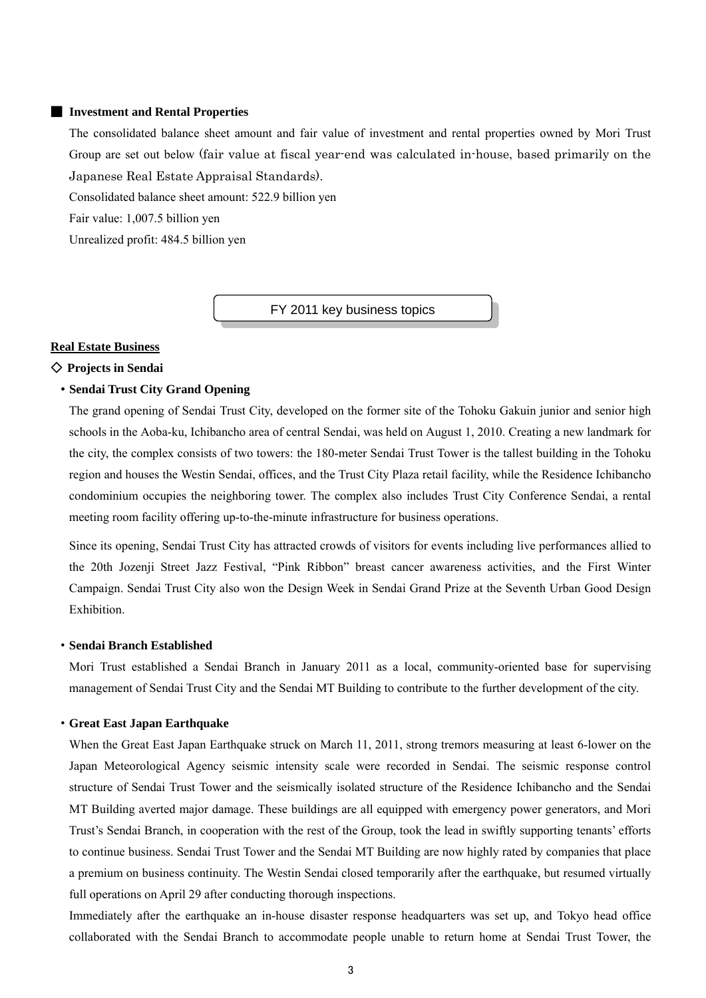#### ■ **Investment and Rental Properties**

The consolidated balance sheet amount and fair value of investment and rental properties owned by Mori Trust Group are set out below (fair value at fiscal year-end was calculated in-house, based primarily on the Japanese Real Estate Appraisal Standards).

Consolidated balance sheet amount: 522.9 billion yen

Fair value: 1,007.5 billion yen

Unrealized profit: 484.5 billion yen

FY 2011 key business topics

#### **Real Estate Business**

#### ◇ **Projects in Sendai**

#### ・**Sendai Trust City Grand Opening**

The grand opening of Sendai Trust City, developed on the former site of the Tohoku Gakuin junior and senior high schools in the Aoba-ku, Ichibancho area of central Sendai, was held on August 1, 2010. Creating a new landmark for the city, the complex consists of two towers: the 180-meter Sendai Trust Tower is the tallest building in the Tohoku region and houses the Westin Sendai, offices, and the Trust City Plaza retail facility, while the Residence Ichibancho condominium occupies the neighboring tower. The complex also includes Trust City Conference Sendai, a rental meeting room facility offering up-to-the-minute infrastructure for business operations.

Since its opening, Sendai Trust City has attracted crowds of visitors for events including live performances allied to the 20th Jozenji Street Jazz Festival, "Pink Ribbon" breast cancer awareness activities, and the First Winter Campaign. Sendai Trust City also won the Design Week in Sendai Grand Prize at the Seventh Urban Good Design **Exhibition** 

#### ・**Sendai Branch Established**

Mori Trust established a Sendai Branch in January 2011 as a local, community-oriented base for supervising management of Sendai Trust City and the Sendai MT Building to contribute to the further development of the city.

#### ・**Great East Japan Earthquake**

When the Great East Japan Earthquake struck on March 11, 2011, strong tremors measuring at least 6-lower on the Japan Meteorological Agency seismic intensity scale were recorded in Sendai. The seismic response control structure of Sendai Trust Tower and the seismically isolated structure of the Residence Ichibancho and the Sendai MT Building averted major damage. These buildings are all equipped with emergency power generators, and Mori Trust's Sendai Branch, in cooperation with the rest of the Group, took the lead in swiftly supporting tenants' efforts to continue business. Sendai Trust Tower and the Sendai MT Building are now highly rated by companies that place a premium on business continuity. The Westin Sendai closed temporarily after the earthquake, but resumed virtually full operations on April 29 after conducting thorough inspections.

Immediately after the earthquake an in-house disaster response headquarters was set up, and Tokyo head office collaborated with the Sendai Branch to accommodate people unable to return home at Sendai Trust Tower, the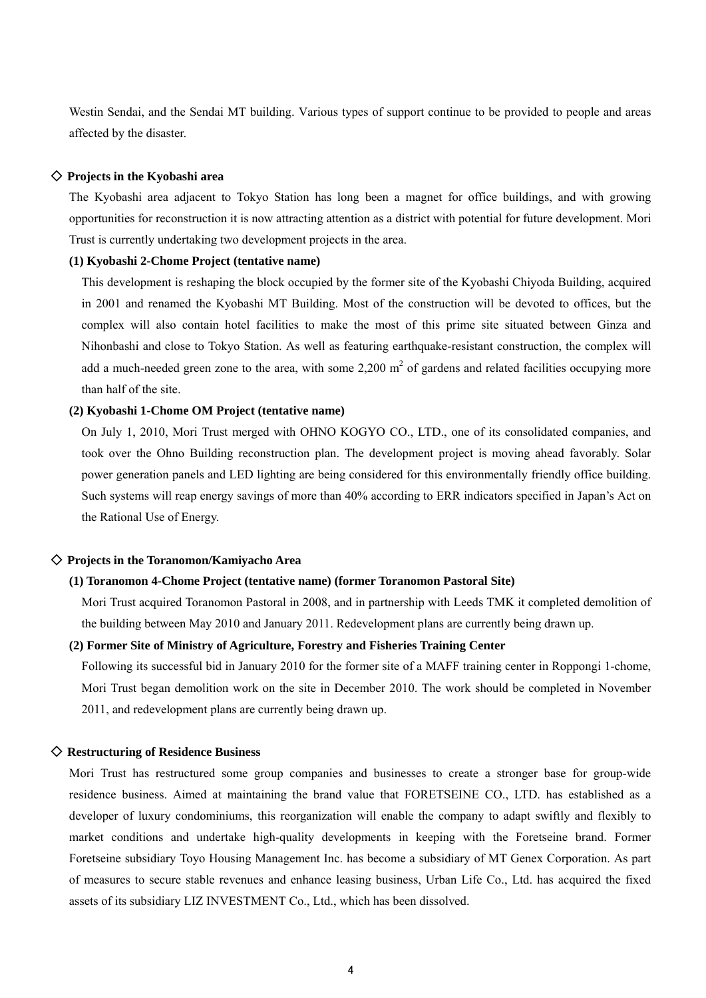Westin Sendai, and the Sendai MT building. Various types of support continue to be provided to people and areas affected by the disaster.

#### ◇ **Projects in the Kyobashi area**

The Kyobashi area adjacent to Tokyo Station has long been a magnet for office buildings, and with growing opportunities for reconstruction it is now attracting attention as a district with potential for future development. Mori Trust is currently undertaking two development projects in the area.

#### **(1) Kyobashi 2-Chome Project (tentative name)**

This development is reshaping the block occupied by the former site of the Kyobashi Chiyoda Building, acquired in 2001 and renamed the Kyobashi MT Building. Most of the construction will be devoted to offices, but the complex will also contain hotel facilities to make the most of this prime site situated between Ginza and Nihonbashi and close to Tokyo Station. As well as featuring earthquake-resistant construction, the complex will add a much-needed green zone to the area, with some  $2,200 \text{ m}^2$  of gardens and related facilities occupying more than half of the site.

#### **(2) Kyobashi 1-Chome OM Project (tentative name)**

On July 1, 2010, Mori Trust merged with OHNO KOGYO CO., LTD., one of its consolidated companies, and took over the Ohno Building reconstruction plan. The development project is moving ahead favorably. Solar power generation panels and LED lighting are being considered for this environmentally friendly office building. Such systems will reap energy savings of more than 40% according to ERR indicators specified in Japan's Act on the Rational Use of Energy.

#### ◇ **Projects in the Toranomon/Kamiyacho Area**

#### **(1) Toranomon 4-Chome Project (tentative name) (former Toranomon Pastoral Site)**

Mori Trust acquired Toranomon Pastoral in 2008, and in partnership with Leeds TMK it completed demolition of the building between May 2010 and January 2011. Redevelopment plans are currently being drawn up.

#### **(2) Former Site of Ministry of Agriculture, Forestry and Fisheries Training Center**

Following its successful bid in January 2010 for the former site of a MAFF training center in Roppongi 1-chome, Mori Trust began demolition work on the site in December 2010. The work should be completed in November 2011, and redevelopment plans are currently being drawn up.

#### ◇ **Restructuring of Residence Business**

Mori Trust has restructured some group companies and businesses to create a stronger base for group-wide residence business. Aimed at maintaining the brand value that FORETSEINE CO., LTD. has established as a developer of luxury condominiums, this reorganization will enable the company to adapt swiftly and flexibly to market conditions and undertake high-quality developments in keeping with the Foretseine brand. Former Foretseine subsidiary Toyo Housing Management Inc. has become a subsidiary of MT Genex Corporation. As part of measures to secure stable revenues and enhance leasing business, Urban Life Co., Ltd. has acquired the fixed assets of its subsidiary LIZ INVESTMENT Co., Ltd., which has been dissolved.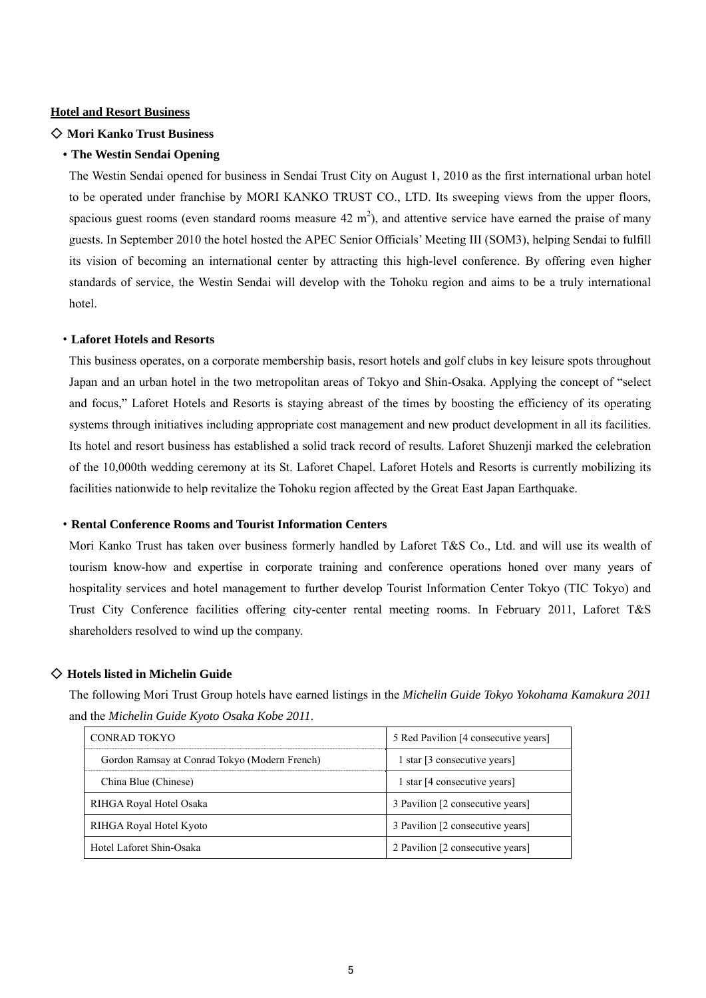#### **Hotel and Resort Business**

#### ◇ **Mori Kanko Trust Business**

#### ・**The Westin Sendai Opening**

The Westin Sendai opened for business in Sendai Trust City on August 1, 2010 as the first international urban hotel to be operated under franchise by MORI KANKO TRUST CO., LTD. Its sweeping views from the upper floors, spacious guest rooms (even standard rooms measure  $42 \text{ m}^2$ ), and attentive service have earned the praise of many guests. In September 2010 the hotel hosted the APEC Senior Officials' Meeting III (SOM3), helping Sendai to fulfill its vision of becoming an international center by attracting this high-level conference. By offering even higher standards of service, the Westin Sendai will develop with the Tohoku region and aims to be a truly international hotel.

#### ・**Laforet Hotels and Resorts**

This business operates, on a corporate membership basis, resort hotels and golf clubs in key leisure spots throughout Japan and an urban hotel in the two metropolitan areas of Tokyo and Shin-Osaka. Applying the concept of "select and focus," Laforet Hotels and Resorts is staying abreast of the times by boosting the efficiency of its operating systems through initiatives including appropriate cost management and new product development in all its facilities. Its hotel and resort business has established a solid track record of results. Laforet Shuzenji marked the celebration of the 10,000th wedding ceremony at its St. Laforet Chapel. Laforet Hotels and Resorts is currently mobilizing its facilities nationwide to help revitalize the Tohoku region affected by the Great East Japan Earthquake.

#### ・**Rental Conference Rooms and Tourist Information Centers**

Mori Kanko Trust has taken over business formerly handled by Laforet T&S Co., Ltd. and will use its wealth of tourism know-how and expertise in corporate training and conference operations honed over many years of hospitality services and hotel management to further develop Tourist Information Center Tokyo (TIC Tokyo) and Trust City Conference facilities offering city-center rental meeting rooms. In February 2011, Laforet T&S shareholders resolved to wind up the company.

#### ◇ **Hotels listed in Michelin Guide**

The following Mori Trust Group hotels have earned listings in the *Michelin Guide Tokyo Yokohama Kamakura 2011* and the *Michelin Guide Kyoto Osaka Kobe 2011*.

| <b>CONRAD TOKYO</b>                           | 5 Red Pavilion [4 consecutive years] |  |
|-----------------------------------------------|--------------------------------------|--|
| Gordon Ramsay at Conrad Tokyo (Modern French) | 1 star [3 consecutive years]         |  |
| China Blue (Chinese)                          | 1 star [4 consecutive years]         |  |
| RIHGA Royal Hotel Osaka                       | 3 Pavilion [2 consecutive years]     |  |
| RIHGA Royal Hotel Kyoto                       | 3 Pavilion [2 consecutive years]     |  |
| Hotel Laforet Shin-Osaka                      | 2 Pavilion [2 consecutive years]     |  |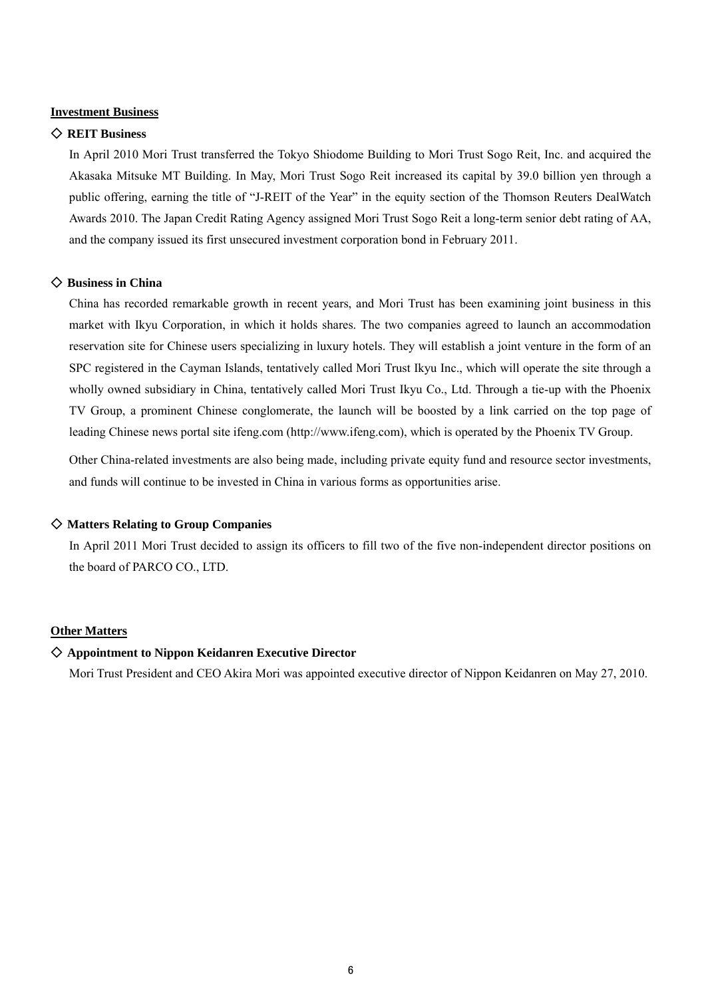#### **Investment Business**

#### ◇ **REIT Business**

In April 2010 Mori Trust transferred the Tokyo Shiodome Building to Mori Trust Sogo Reit, Inc. and acquired the Akasaka Mitsuke MT Building. In May, Mori Trust Sogo Reit increased its capital by 39.0 billion yen through a public offering, earning the title of "J-REIT of the Year" in the equity section of the Thomson Reuters DealWatch Awards 2010. The Japan Credit Rating Agency assigned Mori Trust Sogo Reit a long-term senior debt rating of AA, and the company issued its first unsecured investment corporation bond in February 2011.

#### ◇ **Business in China**

China has recorded remarkable growth in recent years, and Mori Trust has been examining joint business in this market with Ikyu Corporation, in which it holds shares. The two companies agreed to launch an accommodation reservation site for Chinese users specializing in luxury hotels. They will establish a joint venture in the form of an SPC registered in the Cayman Islands, tentatively called Mori Trust Ikyu Inc., which will operate the site through a wholly owned subsidiary in China, tentatively called Mori Trust Ikyu Co., Ltd. Through a tie-up with the Phoenix TV Group, a prominent Chinese conglomerate, the launch will be boosted by a link carried on the top page of leading Chinese news portal site ifeng.com (http://www.ifeng.com), which is operated by the Phoenix TV Group.

Other China-related investments are also being made, including private equity fund and resource sector investments, and funds will continue to be invested in China in various forms as opportunities arise.

#### ◇ **Matters Relating to Group Companies**

In April 2011 Mori Trust decided to assign its officers to fill two of the five non-independent director positions on the board of PARCO CO., LTD.

#### **Other Matters**

#### ◇ **Appointment to Nippon Keidanren Executive Director**

Mori Trust President and CEO Akira Mori was appointed executive director of Nippon Keidanren on May 27, 2010.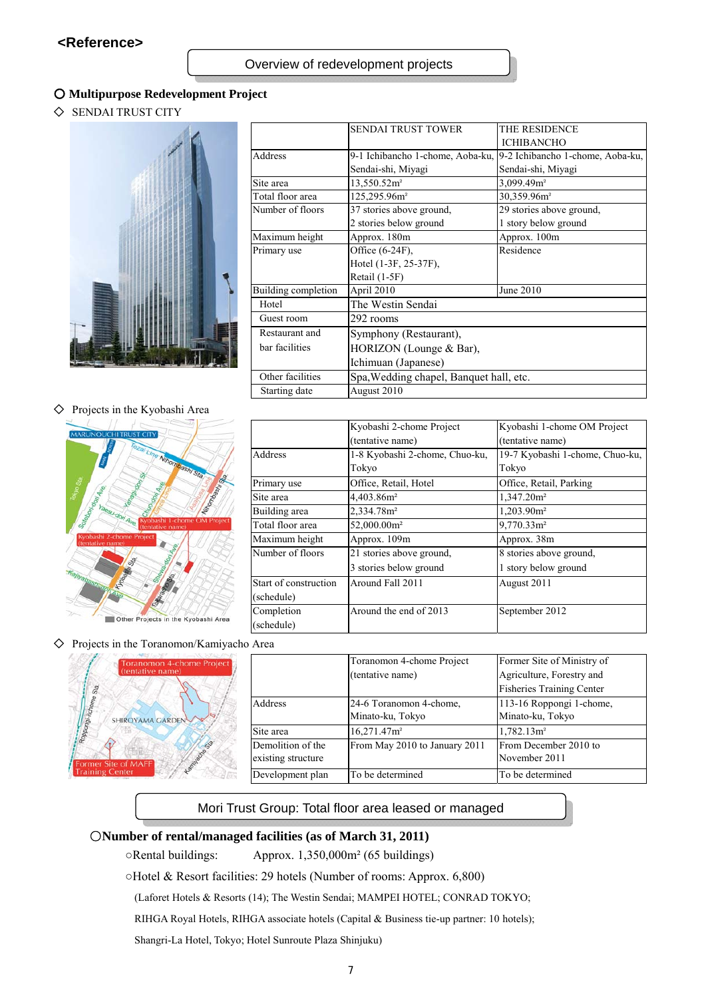#### ○ **Multipurpose Redevelopment Project**

◇ SENDAI TRUST CITY



| <b>SENDAI TRUST TOWER</b>        | THE RESIDENCE                           |  |
|----------------------------------|-----------------------------------------|--|
|                                  | <b>ICHIBANCHO</b>                       |  |
| 9-1 Ichibancho 1-chome, Aoba-ku, | 9-2 Ichibancho 1-chome, Aoba-ku,        |  |
| Sendai-shi, Miyagi               | Sendai-shi, Miyagi                      |  |
| 13,550.52m <sup>2</sup>          | 3,099.49m <sup>2</sup>                  |  |
| 125,295.96m <sup>2</sup>         | 30,359.96m <sup>2</sup>                 |  |
| 37 stories above ground,         | 29 stories above ground,                |  |
| 2 stories below ground           | 1 story below ground                    |  |
| Approx. 180m                     | Approx. 100m                            |  |
| Office (6-24F),                  | Residence                               |  |
| Hotel (1-3F, 25-37F),            |                                         |  |
| Retail (1-5F)                    |                                         |  |
| April 2010                       | June 2010                               |  |
| The Westin Sendai                |                                         |  |
| 292 rooms                        |                                         |  |
| Symphony (Restaurant),           |                                         |  |
| HORIZON (Lounge & Bar),          |                                         |  |
| Ichimuan (Japanese)              |                                         |  |
|                                  |                                         |  |
| August 2010                      |                                         |  |
|                                  | Spa, Wedding chapel, Banquet hall, etc. |  |

#### ◇ Projects in the Kyobashi Area



|                       | Kyobashi 2-chome Project       | Kyobashi 1-chome OM Project     |
|-----------------------|--------------------------------|---------------------------------|
|                       | (tentative name)               | (tentative name)                |
| Address               | 1-8 Kyobashi 2-chome, Chuo-ku, | 19-7 Kyobashi 1-chome, Chuo-ku, |
|                       | Tokyo                          | Tokyo                           |
| Primary use           | Office, Retail, Hotel          | Office, Retail, Parking         |
| Site area             | 4,403.86m <sup>2</sup>         | 1,347.20m <sup>2</sup>          |
| Building area         | 2,334.78m <sup>2</sup>         | 1,203.90m <sup>2</sup>          |
| Total floor area      | 52,000.00m <sup>2</sup>        | $9,770.33$ m <sup>2</sup>       |
| Maximum height        | Approx. 109m                   | Approx. 38m                     |
| Number of floors      | 21 stories above ground,       | 8 stories above ground,         |
|                       | 3 stories below ground         | 1 story below ground            |
| Start of construction | Around Fall 2011               | August 2011                     |
| (schedule)            |                                |                                 |
| Completion            | Around the end of 2013         | September 2012                  |
| (schedule)            |                                |                                 |

◇ Projects in the Toranomon/Kamiyacho Area



|                    | Toranomon 4-chome Project     | Former Site of Ministry of       |
|--------------------|-------------------------------|----------------------------------|
|                    | (tentative name)              | Agriculture, Forestry and        |
|                    |                               | <b>Fisheries Training Center</b> |
| Address            | 24-6 Toranomon 4-chome,       | 113-16 Roppongi 1-chome,         |
|                    | Minato-ku, Tokyo              | Minato-ku, Tokyo                 |
| Site area          | 16,271.47m <sup>2</sup>       | 1,782.13m <sup>2</sup>           |
| Demolition of the  | From May 2010 to January 2011 | From December 2010 to            |
| existing structure |                               | November 2011                    |
| Development plan   | To be determined              | To be determined                 |

#### Mori Trust Group: Total floor area leased or managed

#### ○**Number of rental/managed facilities (as of March 31, 2011)**

○Rental buildings: Approx. 1,350,000m² (65 buildings)

○Hotel & Resort facilities: 29 hotels (Number of rooms: Approx. 6,800)

(Laforet Hotels & Resorts (14); The Westin Sendai; MAMPEI HOTEL; CONRAD TOKYO;

RIHGA Royal Hotels, RIHGA associate hotels (Capital & Business tie-up partner: 10 hotels);

Shangri-La Hotel, Tokyo; Hotel Sunroute Plaza Shinjuku)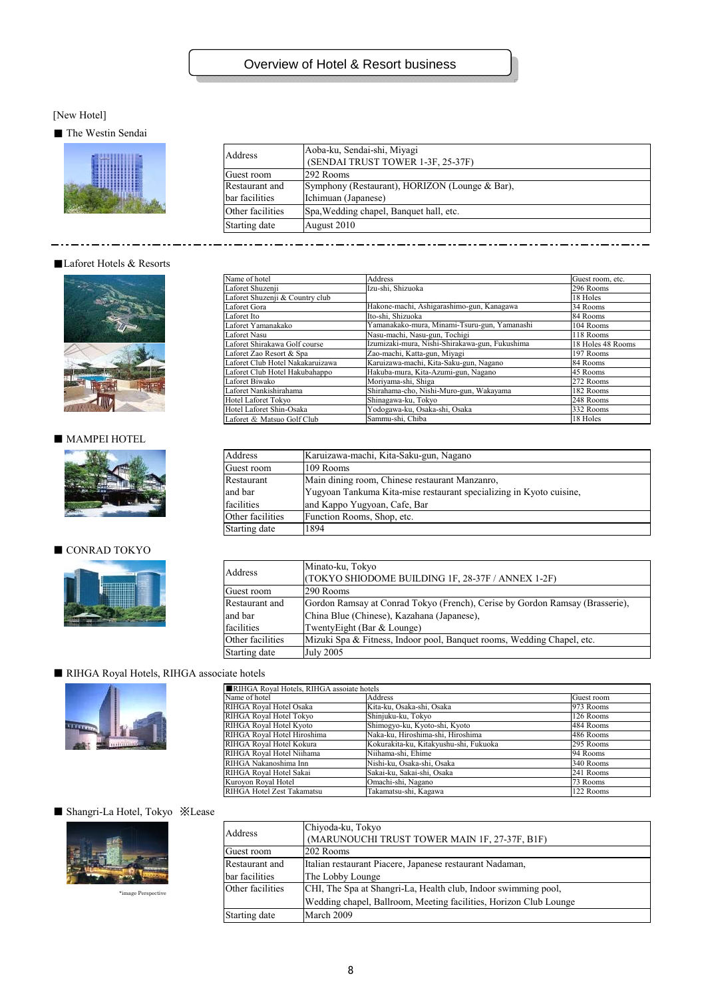## Overview of Hotel & Resort business

#### [New Hotel]

#### ■ The Westin Sendai



| Address          | Aoba-ku, Sendai-shi, Miyagi<br>(SENDAI TRUST TOWER 1-3F, 25-37F) |
|------------------|------------------------------------------------------------------|
|                  |                                                                  |
| Guest room       | 292 Rooms                                                        |
| Restaurant and   | Symphony (Restaurant), HORIZON (Lounge & Bar),                   |
| bar facilities   | Ichimuan (Japanese)                                              |
| Other facilities | Spa, Wedding chapel, Banquet hall, etc.                          |
| Starting date    | August 2010                                                      |

#### ■Laforet Hotels & Resorts

. . . . . . . .



### ■ MAMPEI HOTEL



#### $\blacksquare$  CONRAD TOKYO



| Name of hotel                    | Address                                        | Guest room, etc.  |
|----------------------------------|------------------------------------------------|-------------------|
| Laforet Shuzenii                 | Izu-shi, Shizuoka                              | 296 Rooms         |
| Laforet Shuzenji & Country club  |                                                | 18 Holes          |
| Laforet Gora                     | Hakone-machi, Ashigarashimo-gun, Kanagawa      | 34 Rooms          |
| Laforet Ito                      | Ito-shi, Shizuoka                              | 84 Rooms          |
| Laforet Yamanakako               | Yamanakako-mura, Minami-Tsuru-gun, Yamanashi   | 104 Rooms         |
| Laforet Nasu                     | Nasu-machi, Nasu-gun, Tochigi                  | 118 Rooms         |
| Laforet Shirakawa Golf course    | Izumizaki-mura, Nishi-Shirakawa-gun, Fukushima | 18 Holes 48 Rooms |
| Laforet Zao Resort & Spa         | Zao-machi, Katta-gun, Miyagi                   | 197 Rooms         |
| Laforet Club Hotel Nakakaruizawa | Karuizawa-machi, Kita-Saku-gun, Nagano         | 84 Rooms          |
| Laforet Club Hotel Hakubahappo   | Hakuba-mura, Kita-Azumi-gun, Nagano            | 45 Rooms          |
| Laforet Biwako                   | Moriyama-shi, Shiga                            | 272 Rooms         |
| Laforet Nankishirahama           | Shirahama-cho, Nishi-Muro-gun, Wakayama        | 182 Rooms         |
| Hotel Laforet Tokvo              | Shinagawa-ku, Tokvo                            | 248 Rooms         |
| Hotel Laforet Shin-Osaka         | Yodogawa-ku, Osaka-shi, Osaka                  | 332 Rooms         |
| Laforet & Matsuo Golf Club       | Sammu-shi, Chiba                               | 18 Holes          |

| Address          | Karuizawa-machi, Kita-Saku-gun, Nagano                              |
|------------------|---------------------------------------------------------------------|
| Guest room       | 109 Rooms                                                           |
| Restaurant       | Main dining room, Chinese restaurant Manzanro,                      |
| and bar          | Yugyoan Tankuma Kita-mise restaurant specializing in Kyoto cuisine. |
| facilities       | and Kappo Yugyoan, Cafe, Bar                                        |
| Other facilities | Function Rooms, Shop, etc.                                          |
| Starting date    | 1894                                                                |

| Address          | Minato-ku, Tokyo                                                             |
|------------------|------------------------------------------------------------------------------|
|                  | (TOKYO SHIODOME BUILDING 1F, 28-37F / ANNEX 1-2F)                            |
| Guest room       | 1290 Rooms                                                                   |
| Restaurant and   | Gordon Ramsay at Conrad Tokyo (French), Cerise by Gordon Ramsay (Brasserie), |
| and bar          | China Blue (Chinese), Kazahana (Japanese),                                   |
| facilities       | TwentyEight (Bar & Lounge)                                                   |
| Other facilities | Mizuki Spa & Fitness, Indoor pool, Banquet rooms, Wedding Chapel, etc.       |
| Starting date    | <b>July 2005</b>                                                             |
|                  |                                                                              |

#### ■ RIHGA Royal Hotels, RIHGA associate hotels



| RIHGA Royal Hotels, RIHGA assoiate hotels |                                        |            |  |
|-------------------------------------------|----------------------------------------|------------|--|
| Name of hotel                             | Address                                | Guest room |  |
| RIHGA Royal Hotel Osaka                   | Kita-ku, Osaka-shi, Osaka              | 973 Rooms  |  |
| RIHGA Royal Hotel Tokyo                   | Shinjuku-ku, Tokyo                     | 126 Rooms  |  |
| RIHGA Roval Hotel Kvoto                   | Shimogyo-ku, Kyoto-shi, Kyoto          | 484 Rooms  |  |
| RIHGA Royal Hotel Hiroshima               | Naka-ku, Hiroshima-shi, Hiroshima      | 486 Rooms  |  |
| RIHGA Royal Hotel Kokura                  | Kokurakita-ku, Kitakyushu-shi, Fukuoka | 295 Rooms  |  |
| RIHGA Royal Hotel Niihama                 | Niihama-shi, Ehime                     | 94 Rooms   |  |
| RIHGA Nakanoshima Inn                     | Nishi-ku, Osaka-shi, Osaka             | 340 Rooms  |  |
| RIHGA Royal Hotel Sakai                   | Sakai-ku, Sakai-shi, Osaka             | 241 Rooms  |  |
| Kuroyon Royal Hotel                       | Omachi-shi, Nagano                     | 73 Rooms   |  |
| RIHGA Hotel Zest Takamatsu                | Takamatsu-shi, Kagawa                  | 122 Rooms  |  |

#### ■ Shangri-La Hotel, Tokyo ※Lease



\*image Perspective

| Address                                                                            | Chiyoda-ku, Tokyo                                                 |
|------------------------------------------------------------------------------------|-------------------------------------------------------------------|
|                                                                                    | (MARUNOUCHI TRUST TOWER MAIN 1F, 27-37F, B1F)                     |
| 202 Rooms<br>Guest room                                                            |                                                                   |
| Restaurant and                                                                     | Italian restaurant Piacere, Japanese restaurant Nadaman,          |
| bar facilities                                                                     | The Lobby Lounge                                                  |
| Other facilities<br>CHI, The Spa at Shangri-La, Health club, Indoor swimming pool, |                                                                   |
|                                                                                    | Wedding chapel, Ballroom, Meeting facilities, Horizon Club Lounge |
| Starting date                                                                      | March 2009                                                        |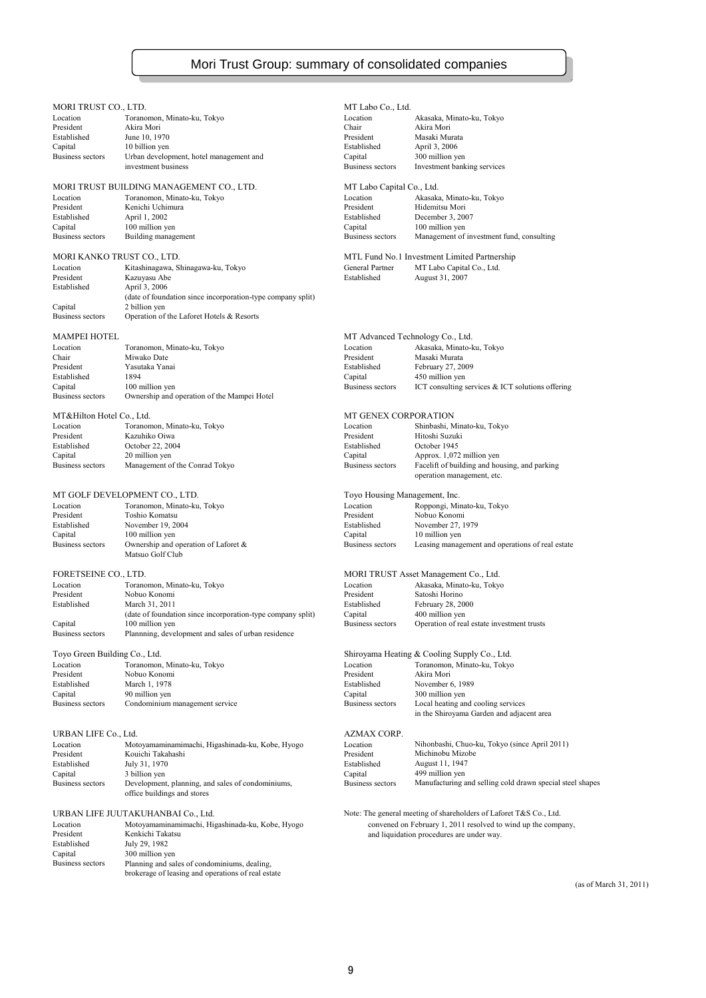# Mori Trust Group: summary of consolidated companies

| MORI TRUST CO., LTD.<br>Location   | Toranomon, Minato-ku, Tokyo                                                      | MT Labo Co., Ltd.<br>Location      | Akasaka, Minato-ku, Tokyo                                          |
|------------------------------------|----------------------------------------------------------------------------------|------------------------------------|--------------------------------------------------------------------|
| President                          | Akira Mori                                                                       | Chair                              | Akira Mori                                                         |
| Established                        | June 10, 1970                                                                    | President                          | Masaki Murata                                                      |
| Capital                            | 10 billion yen                                                                   | Established                        | April 3, 2006                                                      |
| <b>Business sectors</b>            | Urban development, hotel management and<br>investment business                   | Capital<br><b>Business sectors</b> | 300 million yen<br>Investment banking services                     |
|                                    |                                                                                  |                                    |                                                                    |
|                                    | MORI TRUST BUILDING MANAGEMENT CO., LTD.                                         | MT Labo Capital Co., Ltd.          |                                                                    |
| Location                           | Toranomon, Minato-ku, Tokyo                                                      | Location                           | Akasaka, Minato-ku, Tokyo                                          |
| President                          | Kenichi Uchimura                                                                 | President                          | Hidemitsu Mori                                                     |
| Established<br>Capital             | April 1, 2002<br>100 million yen                                                 | Established<br>Capital             | December 3, 2007<br>100 million yen                                |
| <b>Business sectors</b>            | Building management                                                              | <b>Business sectors</b>            | Management of investment fund, consulting                          |
|                                    |                                                                                  |                                    |                                                                    |
| MORI KANKO TRUST CO., LTD.         |                                                                                  |                                    | MTL Fund No.1 Investment Limited Partnership                       |
| Location                           | Kitashinagawa, Shinagawa-ku, Tokyo                                               | General Partner                    | MT Labo Capital Co., Ltd.                                          |
| President<br>Established           | Kazuyasu Abe<br>April 3, 2006                                                    | Established                        | August 31, 2007                                                    |
|                                    | (date of foundation since incorporation-type company split)                      |                                    |                                                                    |
| Capital                            | 2 billion yen                                                                    |                                    |                                                                    |
| <b>Business sectors</b>            | Operation of the Laforet Hotels & Resorts                                        |                                    |                                                                    |
| <b>MAMPEI HOTEL</b>                |                                                                                  | MT Advanced Technology Co., Ltd.   |                                                                    |
| Location                           | Toranomon, Minato-ku, Tokyo                                                      | Location                           | Akasaka, Minato-ku, Tokyo                                          |
| Chair                              | Miwako Date                                                                      | President                          | Masaki Murata                                                      |
| President                          | Yasutaka Yanai                                                                   | Established                        | February 27, 2009                                                  |
| Established                        | 1894                                                                             | Capital                            | 450 million yen                                                    |
| Capital<br><b>Business sectors</b> | 100 million yen<br>Ownership and operation of the Mampei Hotel                   | Business sectors                   | ICT consulting services $&$ ICT solutions offering                 |
|                                    |                                                                                  |                                    |                                                                    |
| MT&Hilton Hotel Co., Ltd.          |                                                                                  | <b>MT GENEX CORPORATION</b>        |                                                                    |
| Location<br>President              | Toranomon, Minato-ku, Tokyo<br>Kazuhiko Oiwa                                     | Location<br>President              | Shinbashi, Minato-ku, Tokyo<br>Hitoshi Suzuki                      |
| Established                        | October 22, 2004                                                                 | Established                        | October 1945                                                       |
| Capital                            | 20 million yen                                                                   | Capital                            | Approx. 1,072 million yen                                          |
| <b>Business sectors</b>            | Management of the Conrad Tokyo                                                   | <b>Business sectors</b>            | Facelift of building and housing, and parking                      |
|                                    |                                                                                  |                                    | operation management, etc.                                         |
|                                    | MT GOLF DEVELOPMENT CO., LTD.                                                    | Toyo Housing Management, Inc.      |                                                                    |
| Location                           | Toranomon, Minato-ku, Tokyo                                                      | Location                           | Roppongi, Minato-ku, Tokyo                                         |
| President                          | Toshio Komatsu                                                                   | President                          | Nobuo Konomi                                                       |
| Established                        | November 19, 2004                                                                | Established                        | November 27, 1979                                                  |
| Capital<br><b>Business sectors</b> | 100 million yen<br>Ownership and operation of Laforet $\&$                       | Capital<br>Business sectors        | 10 million yen<br>Leasing management and operations of real estate |
|                                    | Matsuo Golf Club                                                                 |                                    |                                                                    |
| FORETSEINE CO., LTD.               |                                                                                  |                                    | MORI TRUST Asset Management Co., Ltd.                              |
| Location                           | Toranomon, Minato-ku, Tokyo                                                      | Location                           | Akasaka, Minato-ku, Tokyo                                          |
| President                          | Nobuo Konomi                                                                     | President                          | Satoshi Horino                                                     |
| Established                        | March 31, 2011                                                                   | Established                        | February 28, 2000                                                  |
|                                    | (date of foundation since incorporation-type company split)                      | Capital                            | 400 million yen                                                    |
| Capital<br><b>Business sectors</b> | 100 million yen<br>Plannning, development and sales of urban residence           | Business sectors                   | Operation of real estate investment trusts                         |
|                                    |                                                                                  |                                    |                                                                    |
| Toyo Green Building Co., Ltd.      |                                                                                  |                                    | Shiroyama Heating & Cooling Supply Co., Ltd.                       |
| Location                           | Toranomon, Minato-ku, Tokyo                                                      | Location                           | Toranomon, Minato-ku, Tokyo                                        |
| President                          | Nobuo Konomi                                                                     | President                          | Akira Mori                                                         |
| Established<br>Capital             | March 1, 1978<br>90 million yen                                                  | Established<br>Capital             | November 6, 1989<br>300 million yen                                |
| <b>Business sectors</b>            | Condominium management service                                                   | Business sectors                   | Local heating and cooling services                                 |
|                                    |                                                                                  |                                    | in the Shiroyama Garden and adjacent area                          |
|                                    |                                                                                  |                                    |                                                                    |
| URBAN LIFE Co., Ltd.<br>Location   |                                                                                  | AZMAX CORP.<br>Location            | Nihonbashi, Chuo-ku, Tokyo (since April 2011)                      |
| President                          | Motoyamaminamimachi, Higashinada-ku, Kobe, Hyogo<br>Kouichi Takahashi            | President                          | Michinobu Mizobe                                                   |
| Established                        | July 31, 1970                                                                    | Established                        | August 11, 1947                                                    |
| Capital                            | 3 billion yen                                                                    | Capital                            | 499 million yen                                                    |
| <b>Business sectors</b>            | Development, planning, and sales of condominiums,<br>office buildings and stores | Business sectors                   | Manufacturing and selling cold drawn special steel shapes          |
|                                    |                                                                                  |                                    |                                                                    |
|                                    | URBAN LIFE JUUTAKUHANBAI Co., Ltd.                                               |                                    | Note: The general meeting of shareholders of Laforet T&S Co., Ltd. |
| Location                           | Motoyamaminamimachi, Higashinada-ku, Kobe, Hyogo                                 |                                    | convened on February 1, 2011 resolved to wind up the company,      |
| President                          | Kenkichi Takatsu<br>July 29, 1982                                                |                                    | and liquidation procedures are under way.                          |
| Established<br>Capital             | 300 million yen                                                                  |                                    |                                                                    |
| <b>Business sectors</b>            | Planning and sales of condominiums, dealing,                                     |                                    |                                                                    |
|                                    | brokerage of leasing and operations of real estate                               |                                    |                                                                    |
|                                    |                                                                                  |                                    |                                                                    |
|                                    |                                                                                  |                                    | (as of March 31, 2011)                                             |
|                                    |                                                                                  |                                    |                                                                    |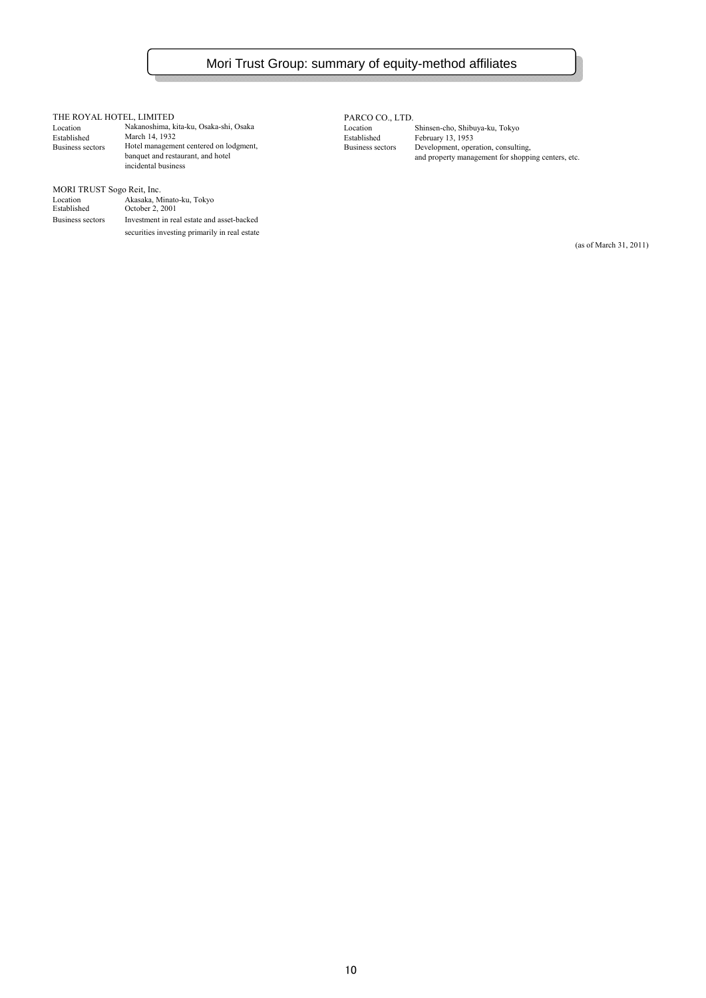$\begin{tabular}{lllllllllll} \textbf{THE ROYAL HOTEL, LIMITED} & \textbf{PARCO CO.}, \textbf{LTD.} \\ \textbf{Location} & \textbf{Nakanoshima, kita-ku, Osaka-shi, Osaka} & \textbf{Location} \\ \textbf{Estabilished} & \textbf{March 14, 1932} & \textbf{Saka-shi, Osaka-shi} \\ \end{tabular}$ Location Nakanoshima, kita-ku, Osaka-shi, Osaka<br>Established March 14, 1932 Established March 14, 1932<br>
Location Makanoshima, kita-ku, Osaka-shi, Osaka<br>
Established March 14, 1932<br>
Established February 13, 1953<br>
Established February 13, 1953<br>
Established February 13, 1953<br>
Established February 13, Hotel management centered on lodgment, banquet and restaurant, and hotel<br>incidental business

#### MORI TRUST Sogo Reit, Inc.

| Location<br>Established | Akasaka, Minato-ku, Tokyo<br>October 2, 2001  |
|-------------------------|-----------------------------------------------|
| Business sectors        | Investment in real estate and asset-backed    |
|                         | securities investing primarily in real estate |

bandlet and restaurant and property management for shopping centers, etc.

(as of March 31, 2011)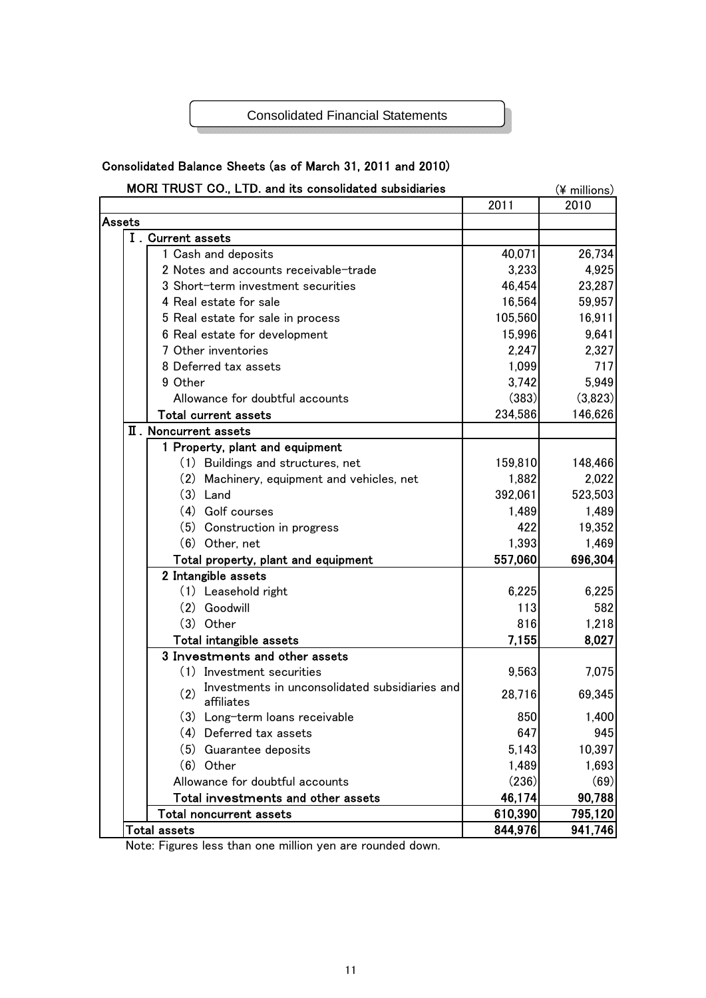### Consolidated Financial Statements

# Consolidated Balance Sheets (as of March 31, 2011 and 2010)

| MORI TRUST CO., LTD. and its consolidated subsidiaries              |         | (¥ millions) |
|---------------------------------------------------------------------|---------|--------------|
|                                                                     | 2011    | 2010         |
| Assets                                                              |         |              |
| I. Current assets                                                   |         |              |
| 1 Cash and deposits                                                 | 40,071  | 26,734       |
| 2 Notes and accounts receivable-trade                               | 3,233   | 4,925        |
| 3 Short-term investment securities                                  | 46,454  | 23,287       |
| 4 Real estate for sale                                              | 16,564  | 59,957       |
| 5 Real estate for sale in process                                   | 105,560 | 16,911       |
| 6 Real estate for development                                       | 15,996  | 9,641        |
| 7 Other inventories                                                 | 2,247   | 2,327        |
| 8 Deferred tax assets                                               | 1,099   | 717          |
| 9 Other                                                             | 3,742   | 5,949        |
| Allowance for doubtful accounts                                     | (383)   | (3,823)      |
| <b>Total current assets</b>                                         | 234,586 | 146,626      |
| II. Noncurrent assets                                               |         |              |
| 1 Property, plant and equipment                                     |         |              |
| (1) Buildings and structures, net                                   | 159,810 | 148,466      |
| (2) Machinery, equipment and vehicles, net                          | 1,882   | 2,022        |
| $(3)$ Land                                                          | 392,061 | 523,503      |
| (4) Golf courses                                                    | 1,489   | 1,489        |
| (5) Construction in progress                                        | 422     | 19,352       |
| (6) Other, net                                                      | 1,393   | 1,469        |
| Total property, plant and equipment                                 | 557,060 | 696,304      |
| 2 Intangible assets                                                 |         |              |
| (1) Leasehold right                                                 | 6,225   | 6,225        |
| (2) Goodwill                                                        | 113     | 582          |
| $(3)$ Other                                                         | 816     | 1,218        |
| Total intangible assets                                             | 7,155   | 8,027        |
| 3 Investments and other assets                                      |         |              |
| (1) Investment securities                                           | 9,563   | 7,075        |
| Investments in unconsolidated subsidiaries and<br>(2)<br>affiliates | 28,716  | 69,345       |
| (3) Long-term loans receivable                                      | 850     | 1,400        |
| (4) Deferred tax assets                                             | 647     | 945          |
| (5) Guarantee deposits                                              | 5,143   | 10,397       |
| $(6)$ Other                                                         | 1,489   | 1,693        |
| Allowance for doubtful accounts                                     | (236)   | (69)         |
| Total investments and other assets                                  | 46,174  | 90,788       |
| <b>Total noncurrent assets</b>                                      | 610,390 | 795,120      |
| <b>Total assets</b>                                                 | 844,976 | 941,746      |

Note: Figures less than one million yen are rounded down.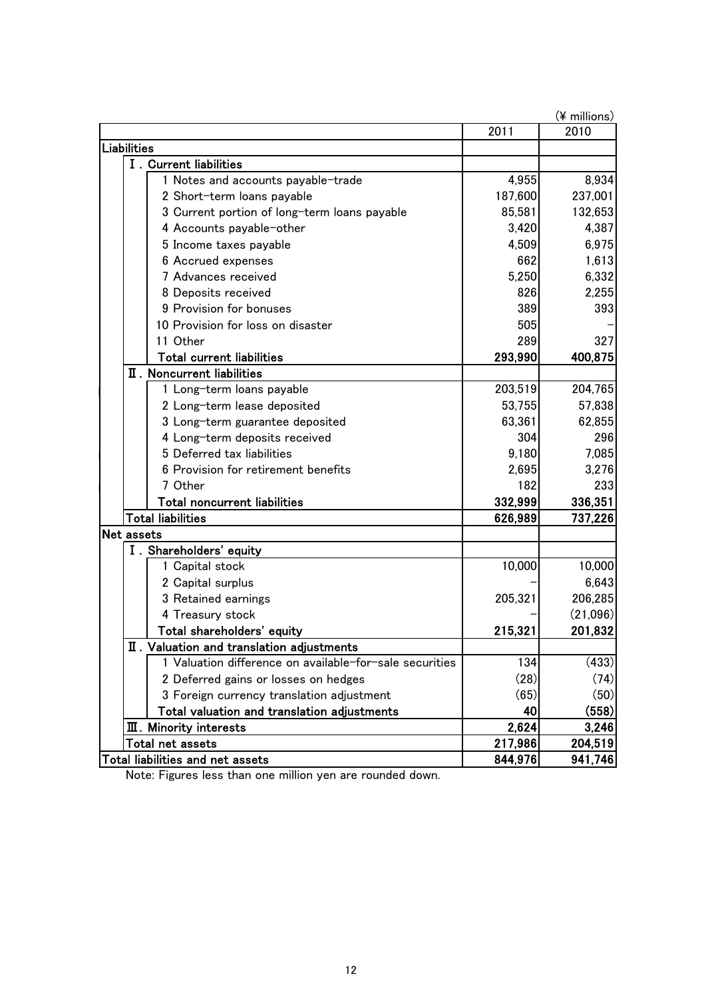|                    |                                  |                                                         |         | (¥ millions) |
|--------------------|----------------------------------|---------------------------------------------------------|---------|--------------|
|                    |                                  |                                                         | 2011    | 2010         |
| <b>Liabilities</b> |                                  |                                                         |         |              |
|                    |                                  | I. Current liabilities                                  |         |              |
|                    |                                  | 1 Notes and accounts payable-trade                      | 4,955   | 8,934        |
|                    |                                  | 2 Short-term loans payable                              | 187,600 | 237,001      |
|                    |                                  | 3 Current portion of long-term loans payable            | 85,581  | 132,653      |
|                    |                                  | 4 Accounts payable-other                                | 3,420   | 4,387        |
|                    |                                  | 5 Income taxes payable                                  | 4,509   | 6,975        |
|                    |                                  | 6 Accrued expenses                                      | 662     | 1,613        |
|                    |                                  | 7 Advances received                                     | 5,250   | 6,332        |
|                    |                                  | 8 Deposits received                                     | 826     | 2,255        |
|                    |                                  | 9 Provision for bonuses                                 | 389     | 393          |
|                    |                                  | 10 Provision for loss on disaster                       | 505     |              |
|                    |                                  | 11 Other                                                | 289     | 327          |
|                    |                                  | <b>Total current liabilities</b>                        | 293,990 | 400,875      |
|                    |                                  | II. Noncurrent liabilities                              |         |              |
|                    |                                  | 1 Long-term loans payable                               | 203,519 | 204,765      |
|                    |                                  | 2 Long-term lease deposited                             | 53,755  | 57,838       |
|                    |                                  | 3 Long-term guarantee deposited                         | 63,361  | 62,855       |
|                    |                                  | 4 Long-term deposits received                           | 304     | 296          |
|                    |                                  | 5 Deferred tax liabilities                              | 9,180   | 7,085        |
|                    |                                  | 6 Provision for retirement benefits                     | 2,695   | 3,276        |
|                    |                                  | 7 Other                                                 | 182     | 233          |
|                    |                                  | <b>Total noncurrent liabilities</b>                     | 332,999 | 336,351      |
|                    |                                  | <b>Total liabilities</b>                                | 626,989 | 737,226      |
| Net assets         |                                  |                                                         |         |              |
|                    |                                  | I. Shareholders' equity                                 |         |              |
|                    |                                  | 1 Capital stock                                         | 10,000  | 10,000       |
|                    |                                  | 2 Capital surplus                                       |         | 6,643        |
|                    |                                  | 3 Retained earnings                                     | 205,321 | 206,285      |
|                    |                                  | 4 Treasury stock                                        |         | (21,096)     |
|                    |                                  | Total shareholders' equity                              | 215,321 | 201,832      |
|                    |                                  | II. Valuation and translation adjustments               |         |              |
|                    |                                  | 1 Valuation difference on available-for-sale securities | 134     | (433)        |
|                    |                                  | 2 Deferred gains or losses on hedges                    | (28)    | (74)         |
|                    |                                  | 3 Foreign currency translation adjustment               | (65)    | (50)         |
|                    |                                  | Total valuation and translation adjustments             | 40      | (558)        |
|                    |                                  | <b>III.</b> Minority interests                          | 2,624   | 3,246        |
|                    |                                  | Total net assets                                        | 217,986 | 204,519      |
|                    | Total liabilities and net assets |                                                         | 844,976 | 941,746      |

Note: Figures less than one million yen are rounded down.